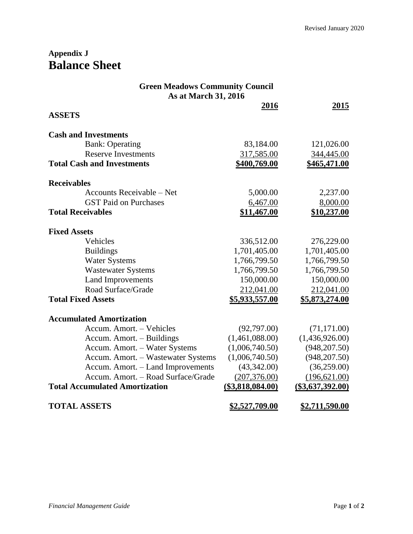## **Appendix J Balance Sheet**

| <b>Green Meadows Community Council</b><br>As at March 31, 2016 |                       |                       |  |  |
|----------------------------------------------------------------|-----------------------|-----------------------|--|--|
| <b>ASSETS</b>                                                  | 2016                  | 2015                  |  |  |
|                                                                |                       |                       |  |  |
| <b>Cash and Investments</b>                                    |                       |                       |  |  |
| <b>Bank: Operating</b>                                         | 83,184.00             | 121,026.00            |  |  |
| <b>Reserve Investments</b>                                     | 317,585.00            | 344,445.00            |  |  |
| <b>Total Cash and Investments</b>                              | \$400,769.00          | \$465,471.00          |  |  |
| <b>Receivables</b>                                             |                       |                       |  |  |
| Accounts Receivable – Net                                      | 5,000.00              | 2,237.00              |  |  |
| <b>GST Paid on Purchases</b>                                   | 6,467.00              | 8,000.00              |  |  |
| <b>Total Receivables</b>                                       | \$11,467.00           | \$10,237.00           |  |  |
| <b>Fixed Assets</b>                                            |                       |                       |  |  |
| Vehicles                                                       | 336,512.00            | 276,229.00            |  |  |
| <b>Buildings</b>                                               | 1,701,405.00          | 1,701,405.00          |  |  |
| <b>Water Systems</b>                                           | 1,766,799.50          | 1,766,799.50          |  |  |
| <b>Wastewater Systems</b>                                      | 1,766,799.50          | 1,766,799.50          |  |  |
| <b>Land Improvements</b>                                       | 150,000.00            | 150,000.00            |  |  |
| Road Surface/Grade                                             | 212,041.00            | 212,041.00            |  |  |
| <b>Total Fixed Assets</b>                                      | <u>\$5,933,557.00</u> | <u>\$5,873,274.00</u> |  |  |
| <b>Accumulated Amortization</b>                                |                       |                       |  |  |
| Accum. Amort. - Vehicles                                       | (92,797.00)           | (71, 171.00)          |  |  |
| Accum. Amort. - Buildings                                      | (1,461,088.00)        | (1,436,926.00)        |  |  |
| Accum. Amort. - Water Systems                                  | (1,006,740.50)        | (948, 207.50)         |  |  |
| Accum. Amort. - Wastewater Systems                             | (1,006,740.50)        | (948, 207.50)         |  |  |
| Accum. Amort. - Land Improvements                              | (43,342.00)           | (36, 259.00)          |  |  |
| Accum. Amort. - Road Surface/Grade                             | (207, 376.00)         | (196, 621.00)         |  |  |
| <b>Total Accumulated Amortization</b>                          | $($3,818,084.00)$     | $($ \$3,637,392.00)   |  |  |
| <b>TOTAL ASSETS</b>                                            | <u>\$2,527,709.00</u> | <u>\$2,711,590.00</u> |  |  |